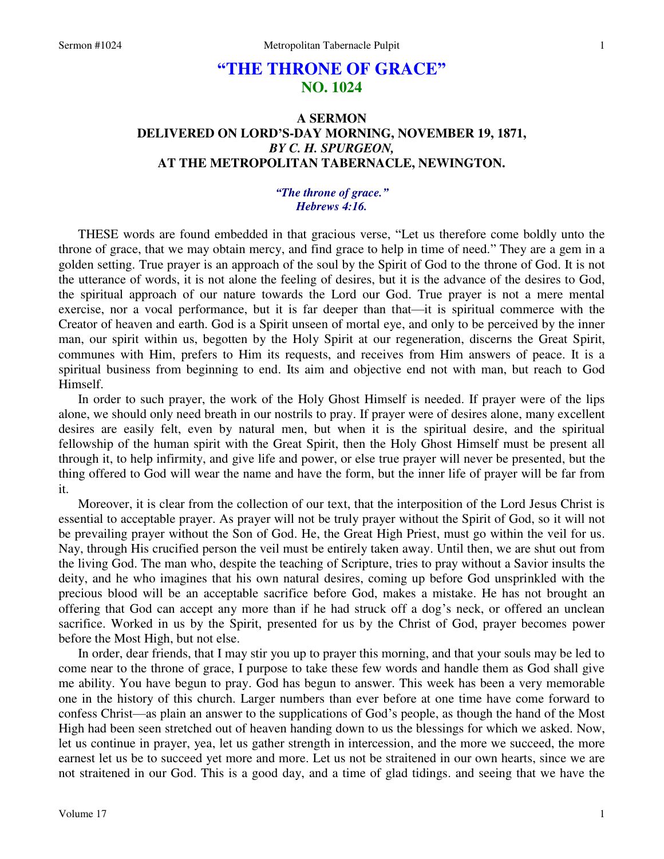# **"THE THRONE OF GRACE" NO. 1024**

# **A SERMON DELIVERED ON LORD'S-DAY MORNING, NOVEMBER 19, 1871,**  *BY C. H. SPURGEON,*  **AT THE METROPOLITAN TABERNACLE, NEWINGTON.**

### *"The throne of grace." Hebrews 4:16.*

THESE words are found embedded in that gracious verse, "Let us therefore come boldly unto the throne of grace, that we may obtain mercy, and find grace to help in time of need." They are a gem in a golden setting. True prayer is an approach of the soul by the Spirit of God to the throne of God. It is not the utterance of words, it is not alone the feeling of desires, but it is the advance of the desires to God, the spiritual approach of our nature towards the Lord our God. True prayer is not a mere mental exercise, nor a vocal performance, but it is far deeper than that—it is spiritual commerce with the Creator of heaven and earth. God is a Spirit unseen of mortal eye, and only to be perceived by the inner man, our spirit within us, begotten by the Holy Spirit at our regeneration, discerns the Great Spirit, communes with Him, prefers to Him its requests, and receives from Him answers of peace. It is a spiritual business from beginning to end. Its aim and objective end not with man, but reach to God Himself.

In order to such prayer, the work of the Holy Ghost Himself is needed. If prayer were of the lips alone, we should only need breath in our nostrils to pray. If prayer were of desires alone, many excellent desires are easily felt, even by natural men, but when it is the spiritual desire, and the spiritual fellowship of the human spirit with the Great Spirit, then the Holy Ghost Himself must be present all through it, to help infirmity, and give life and power, or else true prayer will never be presented, but the thing offered to God will wear the name and have the form, but the inner life of prayer will be far from it.

Moreover, it is clear from the collection of our text, that the interposition of the Lord Jesus Christ is essential to acceptable prayer. As prayer will not be truly prayer without the Spirit of God, so it will not be prevailing prayer without the Son of God. He, the Great High Priest, must go within the veil for us. Nay, through His crucified person the veil must be entirely taken away. Until then, we are shut out from the living God. The man who, despite the teaching of Scripture, tries to pray without a Savior insults the deity, and he who imagines that his own natural desires, coming up before God unsprinkled with the precious blood will be an acceptable sacrifice before God, makes a mistake. He has not brought an offering that God can accept any more than if he had struck off a dog's neck, or offered an unclean sacrifice. Worked in us by the Spirit, presented for us by the Christ of God, prayer becomes power before the Most High, but not else.

In order, dear friends, that I may stir you up to prayer this morning, and that your souls may be led to come near to the throne of grace, I purpose to take these few words and handle them as God shall give me ability. You have begun to pray. God has begun to answer. This week has been a very memorable one in the history of this church. Larger numbers than ever before at one time have come forward to confess Christ—as plain an answer to the supplications of God's people, as though the hand of the Most High had been seen stretched out of heaven handing down to us the blessings for which we asked. Now, let us continue in prayer, yea, let us gather strength in intercession, and the more we succeed, the more earnest let us be to succeed yet more and more. Let us not be straitened in our own hearts, since we are not straitened in our God. This is a good day, and a time of glad tidings. and seeing that we have the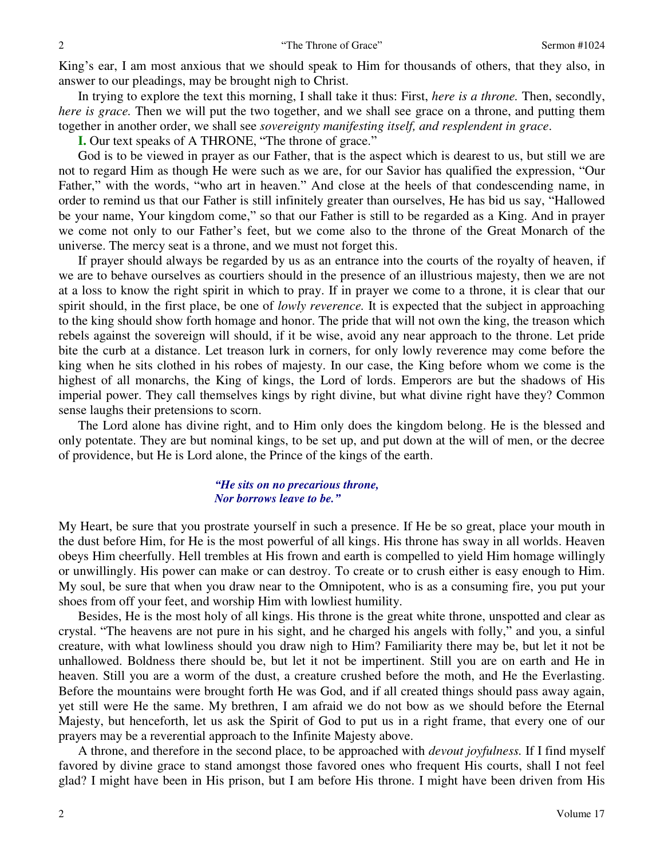King's ear, I am most anxious that we should speak to Him for thousands of others, that they also, in answer to our pleadings, may be brought nigh to Christ.

In trying to explore the text this morning, I shall take it thus: First, *here is a throne.* Then, secondly, *here is grace.* Then we will put the two together, and we shall see grace on a throne, and putting them together in another order, we shall see *sovereignty manifesting itself, and resplendent in grace*.

**I.** Our text speaks of A THRONE, "The throne of grace."

God is to be viewed in prayer as our Father, that is the aspect which is dearest to us, but still we are not to regard Him as though He were such as we are, for our Savior has qualified the expression, "Our Father," with the words, "who art in heaven." And close at the heels of that condescending name, in order to remind us that our Father is still infinitely greater than ourselves, He has bid us say, "Hallowed be your name, Your kingdom come," so that our Father is still to be regarded as a King. And in prayer we come not only to our Father's feet, but we come also to the throne of the Great Monarch of the universe. The mercy seat is a throne, and we must not forget this.

If prayer should always be regarded by us as an entrance into the courts of the royalty of heaven, if we are to behave ourselves as courtiers should in the presence of an illustrious majesty, then we are not at a loss to know the right spirit in which to pray. If in prayer we come to a throne, it is clear that our spirit should, in the first place, be one of *lowly reverence.* It is expected that the subject in approaching to the king should show forth homage and honor. The pride that will not own the king, the treason which rebels against the sovereign will should, if it be wise, avoid any near approach to the throne. Let pride bite the curb at a distance. Let treason lurk in corners, for only lowly reverence may come before the king when he sits clothed in his robes of majesty. In our case, the King before whom we come is the highest of all monarchs, the King of kings, the Lord of lords. Emperors are but the shadows of His imperial power. They call themselves kings by right divine, but what divine right have they? Common sense laughs their pretensions to scorn.

The Lord alone has divine right, and to Him only does the kingdom belong. He is the blessed and only potentate. They are but nominal kings, to be set up, and put down at the will of men, or the decree of providence, but He is Lord alone, the Prince of the kings of the earth.

#### *"He sits on no precarious throne, Nor borrows leave to be."*

My Heart, be sure that you prostrate yourself in such a presence. If He be so great, place your mouth in the dust before Him, for He is the most powerful of all kings. His throne has sway in all worlds. Heaven obeys Him cheerfully. Hell trembles at His frown and earth is compelled to yield Him homage willingly or unwillingly. His power can make or can destroy. To create or to crush either is easy enough to Him. My soul, be sure that when you draw near to the Omnipotent, who is as a consuming fire, you put your shoes from off your feet, and worship Him with lowliest humility.

Besides, He is the most holy of all kings. His throne is the great white throne, unspotted and clear as crystal. "The heavens are not pure in his sight, and he charged his angels with folly," and you, a sinful creature, with what lowliness should you draw nigh to Him? Familiarity there may be, but let it not be unhallowed. Boldness there should be, but let it not be impertinent. Still you are on earth and He in heaven. Still you are a worm of the dust, a creature crushed before the moth, and He the Everlasting. Before the mountains were brought forth He was God, and if all created things should pass away again, yet still were He the same. My brethren, I am afraid we do not bow as we should before the Eternal Majesty, but henceforth, let us ask the Spirit of God to put us in a right frame, that every one of our prayers may be a reverential approach to the Infinite Majesty above.

A throne, and therefore in the second place, to be approached with *devout joyfulness.* If I find myself favored by divine grace to stand amongst those favored ones who frequent His courts, shall I not feel glad? I might have been in His prison, but I am before His throne. I might have been driven from His

2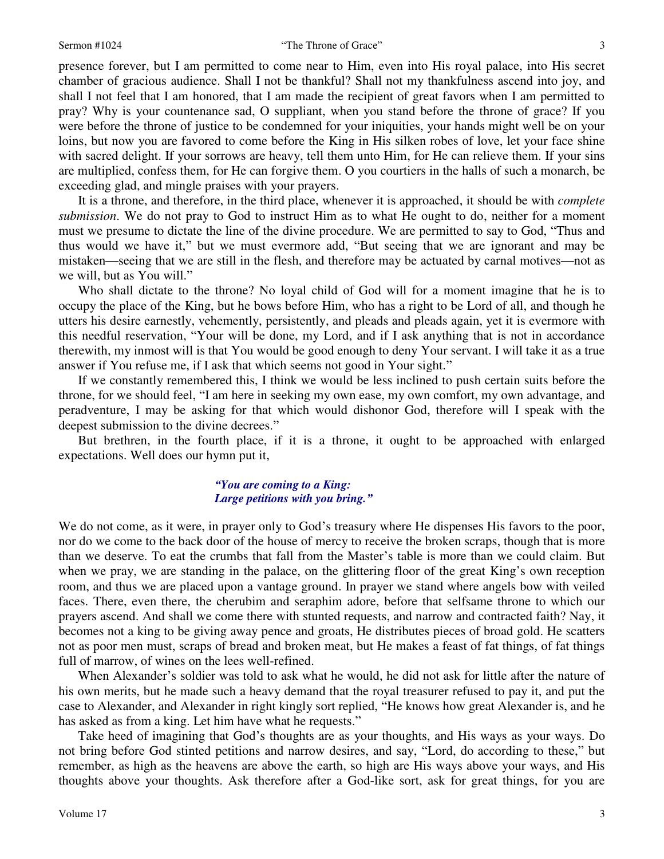#### Sermon #1024 "The Throne of Grace"

presence forever, but I am permitted to come near to Him, even into His royal palace, into His secret chamber of gracious audience. Shall I not be thankful? Shall not my thankfulness ascend into joy, and shall I not feel that I am honored, that I am made the recipient of great favors when I am permitted to pray? Why is your countenance sad, O suppliant, when you stand before the throne of grace? If you were before the throne of justice to be condemned for your iniquities, your hands might well be on your loins, but now you are favored to come before the King in His silken robes of love, let your face shine with sacred delight. If your sorrows are heavy, tell them unto Him, for He can relieve them. If your sins are multiplied, confess them, for He can forgive them. O you courtiers in the halls of such a monarch, be exceeding glad, and mingle praises with your prayers.

It is a throne, and therefore, in the third place, whenever it is approached, it should be with *complete submission*. We do not pray to God to instruct Him as to what He ought to do, neither for a moment must we presume to dictate the line of the divine procedure. We are permitted to say to God, "Thus and thus would we have it," but we must evermore add, "But seeing that we are ignorant and may be mistaken—seeing that we are still in the flesh, and therefore may be actuated by carnal motives—not as we will, but as You will."

Who shall dictate to the throne? No loyal child of God will for a moment imagine that he is to occupy the place of the King, but he bows before Him, who has a right to be Lord of all, and though he utters his desire earnestly, vehemently, persistently, and pleads and pleads again, yet it is evermore with this needful reservation, "Your will be done, my Lord, and if I ask anything that is not in accordance therewith, my inmost will is that You would be good enough to deny Your servant. I will take it as a true answer if You refuse me, if I ask that which seems not good in Your sight."

If we constantly remembered this, I think we would be less inclined to push certain suits before the throne, for we should feel, "I am here in seeking my own ease, my own comfort, my own advantage, and peradventure, I may be asking for that which would dishonor God, therefore will I speak with the deepest submission to the divine decrees."

But brethren, in the fourth place, if it is a throne, it ought to be approached with enlarged expectations. Well does our hymn put it,

## *"You are coming to a King: Large petitions with you bring."*

We do not come, as it were, in prayer only to God's treasury where He dispenses His favors to the poor, nor do we come to the back door of the house of mercy to receive the broken scraps, though that is more than we deserve. To eat the crumbs that fall from the Master's table is more than we could claim. But when we pray, we are standing in the palace, on the glittering floor of the great King's own reception room, and thus we are placed upon a vantage ground. In prayer we stand where angels bow with veiled faces. There, even there, the cherubim and seraphim adore, before that selfsame throne to which our prayers ascend. And shall we come there with stunted requests, and narrow and contracted faith? Nay, it becomes not a king to be giving away pence and groats, He distributes pieces of broad gold. He scatters not as poor men must, scraps of bread and broken meat, but He makes a feast of fat things, of fat things full of marrow, of wines on the lees well-refined.

When Alexander's soldier was told to ask what he would, he did not ask for little after the nature of his own merits, but he made such a heavy demand that the royal treasurer refused to pay it, and put the case to Alexander, and Alexander in right kingly sort replied, "He knows how great Alexander is, and he has asked as from a king. Let him have what he requests."

Take heed of imagining that God's thoughts are as your thoughts, and His ways as your ways. Do not bring before God stinted petitions and narrow desires, and say, "Lord, do according to these," but remember, as high as the heavens are above the earth, so high are His ways above your ways, and His thoughts above your thoughts. Ask therefore after a God-like sort, ask for great things, for you are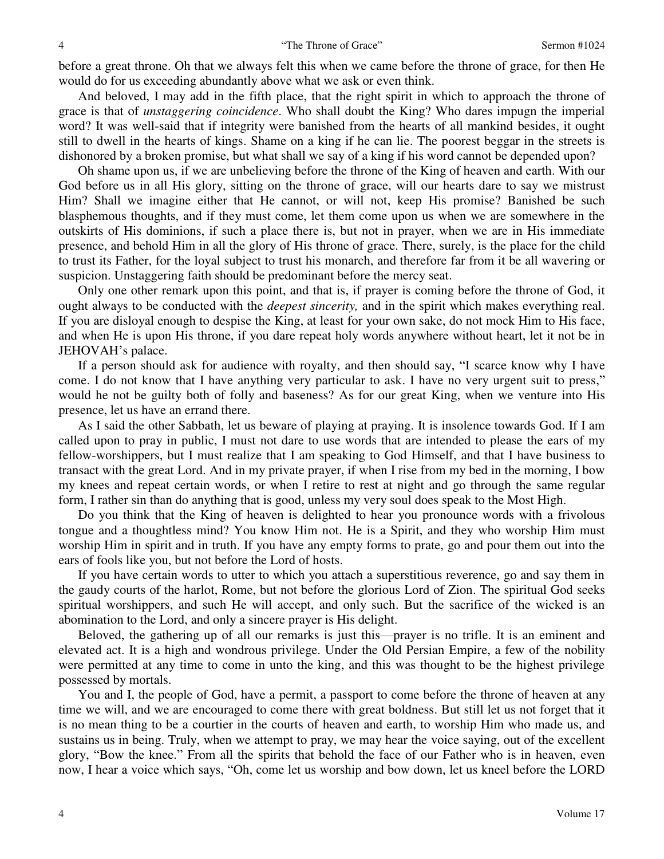before a great throne. Oh that we always felt this when we came before the throne of grace, for then He would do for us exceeding abundantly above what we ask or even think.

And beloved, I may add in the fifth place, that the right spirit in which to approach the throne of grace is that of *unstaggering coincidence*. Who shall doubt the King? Who dares impugn the imperial word? It was well-said that if integrity were banished from the hearts of all mankind besides, it ought still to dwell in the hearts of kings. Shame on a king if he can lie. The poorest beggar in the streets is dishonored by a broken promise, but what shall we say of a king if his word cannot be depended upon?

Oh shame upon us, if we are unbelieving before the throne of the King of heaven and earth. With our God before us in all His glory, sitting on the throne of grace, will our hearts dare to say we mistrust Him? Shall we imagine either that He cannot, or will not, keep His promise? Banished be such blasphemous thoughts, and if they must come, let them come upon us when we are somewhere in the outskirts of His dominions, if such a place there is, but not in prayer, when we are in His immediate presence, and behold Him in all the glory of His throne of grace. There, surely, is the place for the child to trust its Father, for the loyal subject to trust his monarch, and therefore far from it be all wavering or suspicion. Unstaggering faith should be predominant before the mercy seat.

Only one other remark upon this point, and that is, if prayer is coming before the throne of God, it ought always to be conducted with the *deepest sincerity,* and in the spirit which makes everything real. If you are disloyal enough to despise the King, at least for your own sake, do not mock Him to His face, and when He is upon His throne, if you dare repeat holy words anywhere without heart, let it not be in JEHOVAH's palace.

If a person should ask for audience with royalty, and then should say, "I scarce know why I have come. I do not know that I have anything very particular to ask. I have no very urgent suit to press," would he not be guilty both of folly and baseness? As for our great King, when we venture into His presence, let us have an errand there.

As I said the other Sabbath, let us beware of playing at praying. It is insolence towards God. If I am called upon to pray in public, I must not dare to use words that are intended to please the ears of my fellow-worshippers, but I must realize that I am speaking to God Himself, and that I have business to transact with the great Lord. And in my private prayer, if when I rise from my bed in the morning, I bow my knees and repeat certain words, or when I retire to rest at night and go through the same regular form, I rather sin than do anything that is good, unless my very soul does speak to the Most High.

Do you think that the King of heaven is delighted to hear you pronounce words with a frivolous tongue and a thoughtless mind? You know Him not. He is a Spirit, and they who worship Him must worship Him in spirit and in truth. If you have any empty forms to prate, go and pour them out into the ears of fools like you, but not before the Lord of hosts.

If you have certain words to utter to which you attach a superstitious reverence, go and say them in the gaudy courts of the harlot, Rome, but not before the glorious Lord of Zion. The spiritual God seeks spiritual worshippers, and such He will accept, and only such. But the sacrifice of the wicked is an abomination to the Lord, and only a sincere prayer is His delight.

Beloved, the gathering up of all our remarks is just this—prayer is no trifle. It is an eminent and elevated act. It is a high and wondrous privilege. Under the Old Persian Empire, a few of the nobility were permitted at any time to come in unto the king, and this was thought to be the highest privilege possessed by mortals.

You and I, the people of God, have a permit, a passport to come before the throne of heaven at any time we will, and we are encouraged to come there with great boldness. But still let us not forget that it is no mean thing to be a courtier in the courts of heaven and earth, to worship Him who made us, and sustains us in being. Truly, when we attempt to pray, we may hear the voice saying, out of the excellent glory, "Bow the knee." From all the spirits that behold the face of our Father who is in heaven, even now, I hear a voice which says, "Oh, come let us worship and bow down, let us kneel before the LORD

4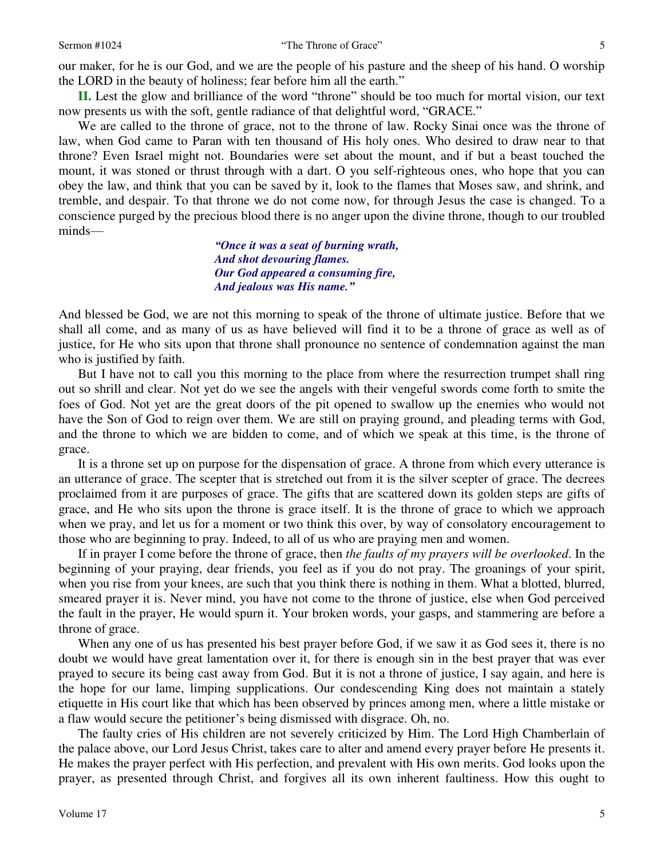our maker, for he is our God, and we are the people of his pasture and the sheep of his hand. O worship the LORD in the beauty of holiness; fear before him all the earth."

**II.** Lest the glow and brilliance of the word "throne" should be too much for mortal vision, our text now presents us with the soft, gentle radiance of that delightful word, "GRACE."

We are called to the throne of grace, not to the throne of law. Rocky Sinai once was the throne of law, when God came to Paran with ten thousand of His holy ones. Who desired to draw near to that throne? Even Israel might not. Boundaries were set about the mount, and if but a beast touched the mount, it was stoned or thrust through with a dart. O you self-righteous ones, who hope that you can obey the law, and think that you can be saved by it, look to the flames that Moses saw, and shrink, and tremble, and despair. To that throne we do not come now, for through Jesus the case is changed. To a conscience purged by the precious blood there is no anger upon the divine throne, though to our troubled minds—

> *"Once it was a seat of burning wrath, And shot devouring flames. Our God appeared a consuming fire, And jealous was His name."*

And blessed be God, we are not this morning to speak of the throne of ultimate justice. Before that we shall all come, and as many of us as have believed will find it to be a throne of grace as well as of justice, for He who sits upon that throne shall pronounce no sentence of condemnation against the man who is justified by faith.

But I have not to call you this morning to the place from where the resurrection trumpet shall ring out so shrill and clear. Not yet do we see the angels with their vengeful swords come forth to smite the foes of God. Not yet are the great doors of the pit opened to swallow up the enemies who would not have the Son of God to reign over them. We are still on praying ground, and pleading terms with God, and the throne to which we are bidden to come, and of which we speak at this time, is the throne of grace.

It is a throne set up on purpose for the dispensation of grace. A throne from which every utterance is an utterance of grace. The scepter that is stretched out from it is the silver scepter of grace. The decrees proclaimed from it are purposes of grace. The gifts that are scattered down its golden steps are gifts of grace, and He who sits upon the throne is grace itself. It is the throne of grace to which we approach when we pray, and let us for a moment or two think this over, by way of consolatory encouragement to those who are beginning to pray. Indeed, to all of us who are praying men and women.

If in prayer I come before the throne of grace, then *the faults of my prayers will be overlooked*. In the beginning of your praying, dear friends, you feel as if you do not pray. The groanings of your spirit, when you rise from your knees, are such that you think there is nothing in them. What a blotted, blurred, smeared prayer it is. Never mind, you have not come to the throne of justice, else when God perceived the fault in the prayer, He would spurn it. Your broken words, your gasps, and stammering are before a throne of grace.

When any one of us has presented his best prayer before God, if we saw it as God sees it, there is no doubt we would have great lamentation over it, for there is enough sin in the best prayer that was ever prayed to secure its being cast away from God. But it is not a throne of justice, I say again, and here is the hope for our lame, limping supplications. Our condescending King does not maintain a stately etiquette in His court like that which has been observed by princes among men, where a little mistake or a flaw would secure the petitioner's being dismissed with disgrace. Oh, no.

The faulty cries of His children are not severely criticized by Him. The Lord High Chamberlain of the palace above, our Lord Jesus Christ, takes care to alter and amend every prayer before He presents it. He makes the prayer perfect with His perfection, and prevalent with His own merits. God looks upon the prayer, as presented through Christ, and forgives all its own inherent faultiness. How this ought to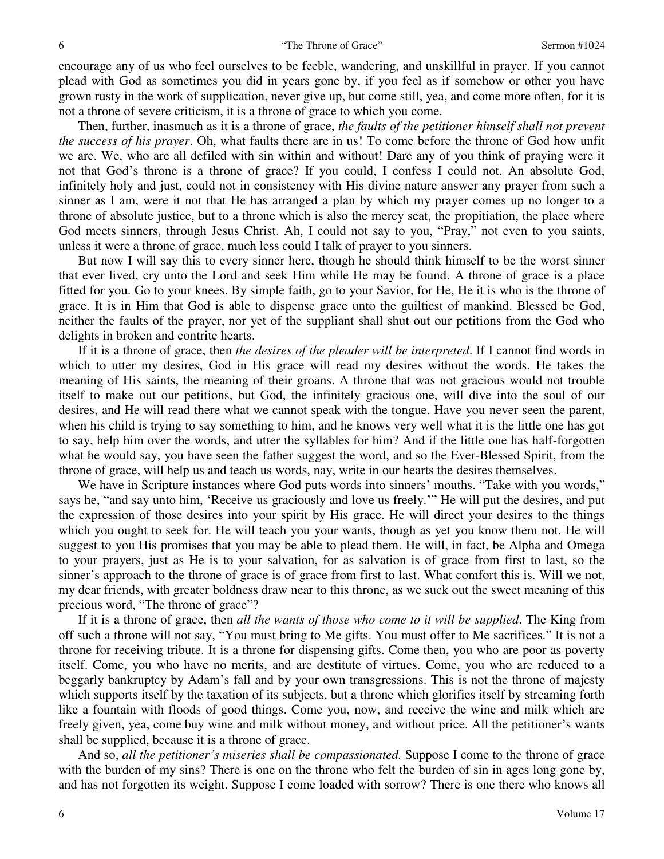encourage any of us who feel ourselves to be feeble, wandering, and unskillful in prayer. If you cannot plead with God as sometimes you did in years gone by, if you feel as if somehow or other you have grown rusty in the work of supplication, never give up, but come still, yea, and come more often, for it is not a throne of severe criticism, it is a throne of grace to which you come.

Then, further, inasmuch as it is a throne of grace, *the faults of the petitioner himself shall not prevent the success of his prayer*. Oh, what faults there are in us! To come before the throne of God how unfit we are. We, who are all defiled with sin within and without! Dare any of you think of praying were it not that God's throne is a throne of grace? If you could, I confess I could not. An absolute God, infinitely holy and just, could not in consistency with His divine nature answer any prayer from such a sinner as I am, were it not that He has arranged a plan by which my prayer comes up no longer to a throne of absolute justice, but to a throne which is also the mercy seat, the propitiation, the place where God meets sinners, through Jesus Christ. Ah, I could not say to you, "Pray," not even to you saints, unless it were a throne of grace, much less could I talk of prayer to you sinners.

But now I will say this to every sinner here, though he should think himself to be the worst sinner that ever lived, cry unto the Lord and seek Him while He may be found. A throne of grace is a place fitted for you. Go to your knees. By simple faith, go to your Savior, for He, He it is who is the throne of grace. It is in Him that God is able to dispense grace unto the guiltiest of mankind. Blessed be God, neither the faults of the prayer, nor yet of the suppliant shall shut out our petitions from the God who delights in broken and contrite hearts.

If it is a throne of grace, then *the desires of the pleader will be interpreted*. If I cannot find words in which to utter my desires, God in His grace will read my desires without the words. He takes the meaning of His saints, the meaning of their groans. A throne that was not gracious would not trouble itself to make out our petitions, but God, the infinitely gracious one, will dive into the soul of our desires, and He will read there what we cannot speak with the tongue. Have you never seen the parent, when his child is trying to say something to him, and he knows very well what it is the little one has got to say, help him over the words, and utter the syllables for him? And if the little one has half-forgotten what he would say, you have seen the father suggest the word, and so the Ever-Blessed Spirit, from the throne of grace, will help us and teach us words, nay, write in our hearts the desires themselves.

We have in Scripture instances where God puts words into sinners' mouths. "Take with you words," says he, "and say unto him, 'Receive us graciously and love us freely.'" He will put the desires, and put the expression of those desires into your spirit by His grace. He will direct your desires to the things which you ought to seek for. He will teach you your wants, though as yet you know them not. He will suggest to you His promises that you may be able to plead them. He will, in fact, be Alpha and Omega to your prayers, just as He is to your salvation, for as salvation is of grace from first to last, so the sinner's approach to the throne of grace is of grace from first to last. What comfort this is. Will we not, my dear friends, with greater boldness draw near to this throne, as we suck out the sweet meaning of this precious word, "The throne of grace"?

If it is a throne of grace, then *all the wants of those who come to it will be supplied*. The King from off such a throne will not say, "You must bring to Me gifts. You must offer to Me sacrifices." It is not a throne for receiving tribute. It is a throne for dispensing gifts. Come then, you who are poor as poverty itself. Come, you who have no merits, and are destitute of virtues. Come, you who are reduced to a beggarly bankruptcy by Adam's fall and by your own transgressions. This is not the throne of majesty which supports itself by the taxation of its subjects, but a throne which glorifies itself by streaming forth like a fountain with floods of good things. Come you, now, and receive the wine and milk which are freely given, yea, come buy wine and milk without money, and without price. All the petitioner's wants shall be supplied, because it is a throne of grace.

And so, *all the petitioner's miseries shall be compassionated.* Suppose I come to the throne of grace with the burden of my sins? There is one on the throne who felt the burden of sin in ages long gone by, and has not forgotten its weight. Suppose I come loaded with sorrow? There is one there who knows all

6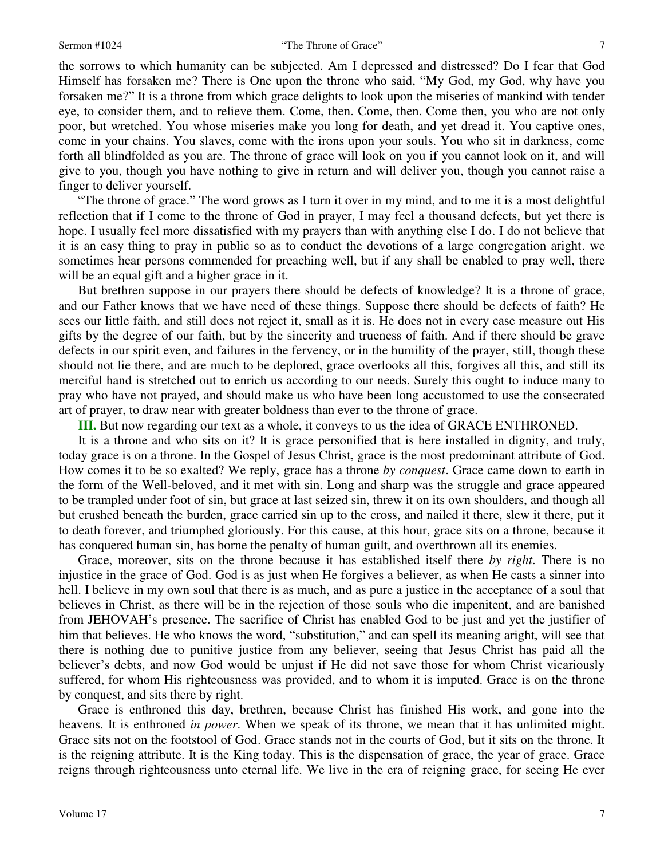the sorrows to which humanity can be subjected. Am I depressed and distressed? Do I fear that God Himself has forsaken me? There is One upon the throne who said, "My God, my God, why have you forsaken me?" It is a throne from which grace delights to look upon the miseries of mankind with tender eye, to consider them, and to relieve them. Come, then. Come, then. Come then, you who are not only poor, but wretched. You whose miseries make you long for death, and yet dread it. You captive ones, come in your chains. You slaves, come with the irons upon your souls. You who sit in darkness, come forth all blindfolded as you are. The throne of grace will look on you if you cannot look on it, and will give to you, though you have nothing to give in return and will deliver you, though you cannot raise a finger to deliver yourself.

"The throne of grace." The word grows as I turn it over in my mind, and to me it is a most delightful reflection that if I come to the throne of God in prayer, I may feel a thousand defects, but yet there is hope. I usually feel more dissatisfied with my prayers than with anything else I do. I do not believe that it is an easy thing to pray in public so as to conduct the devotions of a large congregation aright. we sometimes hear persons commended for preaching well, but if any shall be enabled to pray well, there will be an equal gift and a higher grace in it.

But brethren suppose in our prayers there should be defects of knowledge? It is a throne of grace, and our Father knows that we have need of these things. Suppose there should be defects of faith? He sees our little faith, and still does not reject it, small as it is. He does not in every case measure out His gifts by the degree of our faith, but by the sincerity and trueness of faith. And if there should be grave defects in our spirit even, and failures in the fervency, or in the humility of the prayer, still, though these should not lie there, and are much to be deplored, grace overlooks all this, forgives all this, and still its merciful hand is stretched out to enrich us according to our needs. Surely this ought to induce many to pray who have not prayed, and should make us who have been long accustomed to use the consecrated art of prayer, to draw near with greater boldness than ever to the throne of grace.

**III.** But now regarding our text as a whole, it conveys to us the idea of GRACE ENTHRONED.

It is a throne and who sits on it? It is grace personified that is here installed in dignity, and truly, today grace is on a throne. In the Gospel of Jesus Christ, grace is the most predominant attribute of God. How comes it to be so exalted? We reply, grace has a throne *by conquest*. Grace came down to earth in the form of the Well-beloved, and it met with sin. Long and sharp was the struggle and grace appeared to be trampled under foot of sin, but grace at last seized sin, threw it on its own shoulders, and though all but crushed beneath the burden, grace carried sin up to the cross, and nailed it there, slew it there, put it to death forever, and triumphed gloriously. For this cause, at this hour, grace sits on a throne, because it has conquered human sin, has borne the penalty of human guilt, and overthrown all its enemies.

Grace, moreover, sits on the throne because it has established itself there *by right*. There is no injustice in the grace of God. God is as just when He forgives a believer, as when He casts a sinner into hell. I believe in my own soul that there is as much, and as pure a justice in the acceptance of a soul that believes in Christ, as there will be in the rejection of those souls who die impenitent, and are banished from JEHOVAH's presence. The sacrifice of Christ has enabled God to be just and yet the justifier of him that believes. He who knows the word, "substitution," and can spell its meaning aright, will see that there is nothing due to punitive justice from any believer, seeing that Jesus Christ has paid all the believer's debts, and now God would be unjust if He did not save those for whom Christ vicariously suffered, for whom His righteousness was provided, and to whom it is imputed. Grace is on the throne by conquest, and sits there by right.

Grace is enthroned this day, brethren, because Christ has finished His work, and gone into the heavens. It is enthroned *in power*. When we speak of its throne, we mean that it has unlimited might. Grace sits not on the footstool of God. Grace stands not in the courts of God, but it sits on the throne. It is the reigning attribute. It is the King today. This is the dispensation of grace, the year of grace. Grace reigns through righteousness unto eternal life. We live in the era of reigning grace, for seeing He ever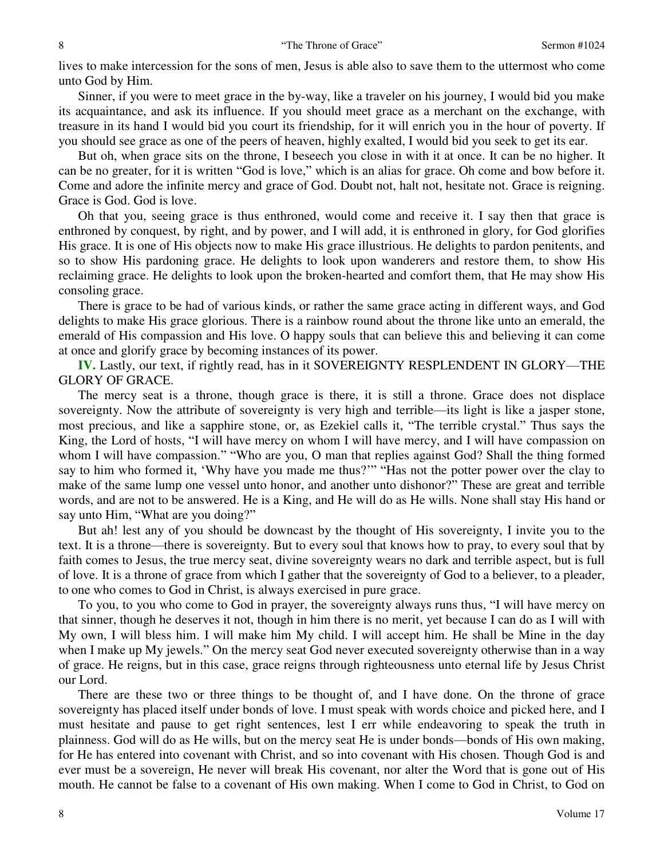lives to make intercession for the sons of men, Jesus is able also to save them to the uttermost who come unto God by Him.

Sinner, if you were to meet grace in the by-way, like a traveler on his journey, I would bid you make its acquaintance, and ask its influence. If you should meet grace as a merchant on the exchange, with treasure in its hand I would bid you court its friendship, for it will enrich you in the hour of poverty. If you should see grace as one of the peers of heaven, highly exalted, I would bid you seek to get its ear.

But oh, when grace sits on the throne, I beseech you close in with it at once. It can be no higher. It can be no greater, for it is written "God is love," which is an alias for grace. Oh come and bow before it. Come and adore the infinite mercy and grace of God. Doubt not, halt not, hesitate not. Grace is reigning. Grace is God. God is love.

Oh that you, seeing grace is thus enthroned, would come and receive it. I say then that grace is enthroned by conquest, by right, and by power, and I will add, it is enthroned in glory, for God glorifies His grace. It is one of His objects now to make His grace illustrious. He delights to pardon penitents, and so to show His pardoning grace. He delights to look upon wanderers and restore them, to show His reclaiming grace. He delights to look upon the broken-hearted and comfort them, that He may show His consoling grace.

There is grace to be had of various kinds, or rather the same grace acting in different ways, and God delights to make His grace glorious. There is a rainbow round about the throne like unto an emerald, the emerald of His compassion and His love. O happy souls that can believe this and believing it can come at once and glorify grace by becoming instances of its power.

**IV.** Lastly, our text, if rightly read, has in it SOVEREIGNTY RESPLENDENT IN GLORY—THE GLORY OF GRACE.

The mercy seat is a throne, though grace is there, it is still a throne. Grace does not displace sovereignty. Now the attribute of sovereignty is very high and terrible—its light is like a jasper stone, most precious, and like a sapphire stone, or, as Ezekiel calls it, "The terrible crystal." Thus says the King, the Lord of hosts, "I will have mercy on whom I will have mercy, and I will have compassion on whom I will have compassion." "Who are you, O man that replies against God? Shall the thing formed say to him who formed it, 'Why have you made me thus?'" "Has not the potter power over the clay to make of the same lump one vessel unto honor, and another unto dishonor?" These are great and terrible words, and are not to be answered. He is a King, and He will do as He wills. None shall stay His hand or say unto Him, "What are you doing?"

But ah! lest any of you should be downcast by the thought of His sovereignty, I invite you to the text. It is a throne—there is sovereignty. But to every soul that knows how to pray, to every soul that by faith comes to Jesus, the true mercy seat, divine sovereignty wears no dark and terrible aspect, but is full of love. It is a throne of grace from which I gather that the sovereignty of God to a believer, to a pleader, to one who comes to God in Christ, is always exercised in pure grace.

To you, to you who come to God in prayer, the sovereignty always runs thus, "I will have mercy on that sinner, though he deserves it not, though in him there is no merit, yet because I can do as I will with My own, I will bless him. I will make him My child. I will accept him. He shall be Mine in the day when I make up My jewels." On the mercy seat God never executed sovereignty otherwise than in a way of grace. He reigns, but in this case, grace reigns through righteousness unto eternal life by Jesus Christ our Lord.

There are these two or three things to be thought of, and I have done. On the throne of grace sovereignty has placed itself under bonds of love. I must speak with words choice and picked here, and I must hesitate and pause to get right sentences, lest I err while endeavoring to speak the truth in plainness. God will do as He wills, but on the mercy seat He is under bonds—bonds of His own making, for He has entered into covenant with Christ, and so into covenant with His chosen. Though God is and ever must be a sovereign, He never will break His covenant, nor alter the Word that is gone out of His mouth. He cannot be false to a covenant of His own making. When I come to God in Christ, to God on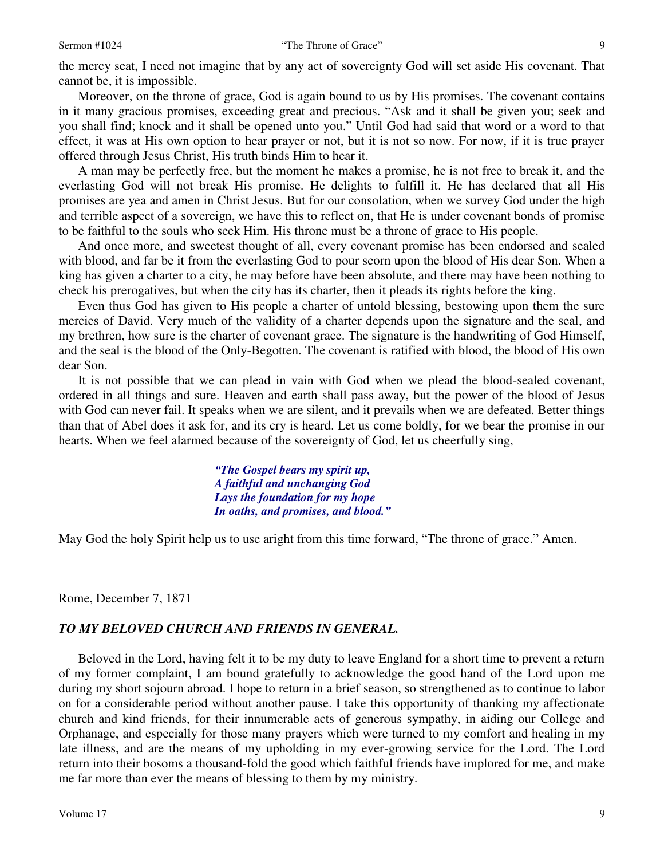9

the mercy seat, I need not imagine that by any act of sovereignty God will set aside His covenant. That cannot be, it is impossible.

Moreover, on the throne of grace, God is again bound to us by His promises. The covenant contains in it many gracious promises, exceeding great and precious. "Ask and it shall be given you; seek and you shall find; knock and it shall be opened unto you." Until God had said that word or a word to that effect, it was at His own option to hear prayer or not, but it is not so now. For now, if it is true prayer offered through Jesus Christ, His truth binds Him to hear it.

A man may be perfectly free, but the moment he makes a promise, he is not free to break it, and the everlasting God will not break His promise. He delights to fulfill it. He has declared that all His promises are yea and amen in Christ Jesus. But for our consolation, when we survey God under the high and terrible aspect of a sovereign, we have this to reflect on, that He is under covenant bonds of promise to be faithful to the souls who seek Him. His throne must be a throne of grace to His people.

And once more, and sweetest thought of all, every covenant promise has been endorsed and sealed with blood, and far be it from the everlasting God to pour scorn upon the blood of His dear Son. When a king has given a charter to a city, he may before have been absolute, and there may have been nothing to check his prerogatives, but when the city has its charter, then it pleads its rights before the king.

Even thus God has given to His people a charter of untold blessing, bestowing upon them the sure mercies of David. Very much of the validity of a charter depends upon the signature and the seal, and my brethren, how sure is the charter of covenant grace. The signature is the handwriting of God Himself, and the seal is the blood of the Only-Begotten. The covenant is ratified with blood, the blood of His own dear Son.

It is not possible that we can plead in vain with God when we plead the blood-sealed covenant, ordered in all things and sure. Heaven and earth shall pass away, but the power of the blood of Jesus with God can never fail. It speaks when we are silent, and it prevails when we are defeated. Better things than that of Abel does it ask for, and its cry is heard. Let us come boldly, for we bear the promise in our hearts. When we feel alarmed because of the sovereignty of God, let us cheerfully sing,

> *"The Gospel bears my spirit up, A faithful and unchanging God Lays the foundation for my hope In oaths, and promises, and blood."*

May God the holy Spirit help us to use aright from this time forward, "The throne of grace." Amen.

Rome, December 7, 1871

# *TO MY BELOVED CHURCH AND FRIENDS IN GENERAL.*

Beloved in the Lord, having felt it to be my duty to leave England for a short time to prevent a return of my former complaint, I am bound gratefully to acknowledge the good hand of the Lord upon me during my short sojourn abroad. I hope to return in a brief season, so strengthened as to continue to labor on for a considerable period without another pause. I take this opportunity of thanking my affectionate church and kind friends, for their innumerable acts of generous sympathy, in aiding our College and Orphanage, and especially for those many prayers which were turned to my comfort and healing in my late illness, and are the means of my upholding in my ever-growing service for the Lord. The Lord return into their bosoms a thousand-fold the good which faithful friends have implored for me, and make me far more than ever the means of blessing to them by my ministry.